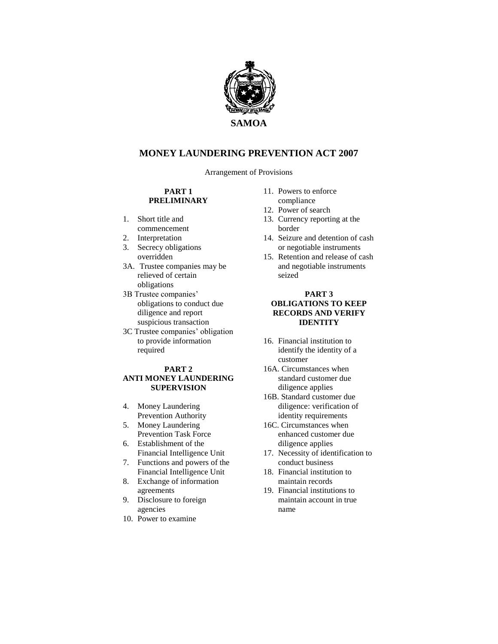

# **MONEY LAUNDERING PREVENTION ACT 2007**

Arrangement of Provisions

#### **PART 1 PRELIMINARY**

- 1. Short title and commencement
- 2. Interpretation
- 3. Secrecy obligations overridden
- 3A. Trustee companies may be relieved of certain obligations
- 3B Trustee companies' obligations to conduct due diligence and report suspicious transaction
- 3C Trustee companies' obligation to provide information required

#### **PART 2 ANTI MONEY LAUNDERING SUPERVISION**

- 4. Money Laundering Prevention Authority
- 5. Money Laundering Prevention Task Force
- 6. Establishment of the Financial Intelligence Unit
- 7. Functions and powers of the Financial Intelligence Unit
- 8. Exchange of information agreements
- 9. Disclosure to foreign agencies
- 10. Power to examine
- 11. Powers to enforce compliance
- 12. Power of search
- 13. Currency reporting at the border
- 14. Seizure and detention of cash or negotiable instruments
- 15. Retention and release of cash and negotiable instruments seized

#### **PART 3 OBLIGATIONS TO KEEP RECORDS AND VERIFY IDENTITY**

- 16. Financial institution to identify the identity of a customer
- 16A. Circumstances when standard customer due diligence applies
- 16B. Standard customer due diligence: verification of identity requirements
- 16C. Circumstances when enhanced customer due diligence applies
- 17. Necessity of identification to conduct business
- 18. Financial institution to maintain records
- 19. Financial institutions to maintain account in true name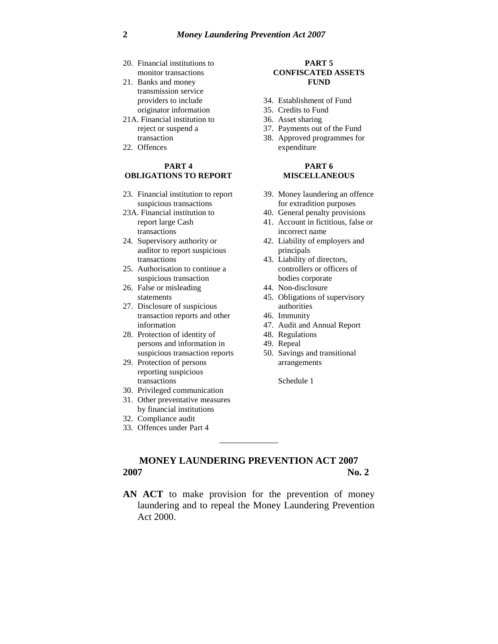- 20. Financial institutions to monitor transactions
- 21. Banks and money transmission service providers to include originator information
- 21A. Financial institution to reject or suspend a transaction
- 22. Offences

#### **PART 4 OBLIGATIONS TO REPORT**

- 23. Financial institution to report suspicious transactions
- 23A. Financial institution to report large Cash transactions
- 24. Supervisory authority or auditor to report suspicious transactions
- 25. Authorisation to continue a suspicious transaction
- 26. False or misleading statements
- 27. Disclosure of suspicious transaction reports and other information
- 28. Protection of identity of persons and information in suspicious transaction reports
- 29. Protection of persons reporting suspicious transactions
- 30. Privileged communication
- 31. Other preventative measures by financial institutions
- 32. Compliance audit
- 33. Offences under Part 4

#### **PART 5 CONFISCATED ASSETS FUND**

- 34. Establishment of Fund
- 35. Credits to Fund
- 36. Asset sharing
- 37. Payments out of the Fund
- 38. Approved programmes for expenditure

#### **PART 6 MISCELLANEOUS**

- 39. Money laundering an offence for extradition purposes
- 40. General penalty provisions
- 41. Account in fictitious, false or incorrect name
- 42. Liability of employers and principals
- 43. Liability of directors, controllers or officers of bodies corporate
- 44. Non-disclosure
- 45. Obligations of supervisory authorities
- 46. Immunity
- 47. Audit and Annual Report
- 48. Regulations
- 49. Repeal
- 50. Savings and transitional arrangements

Schedule 1

# **MONEY LAUNDERING PREVENTION ACT 2007 2007 No. 2**

**AN ACT** to make provision for the prevention of money laundering and to repeal the Money Laundering Prevention Act 2000.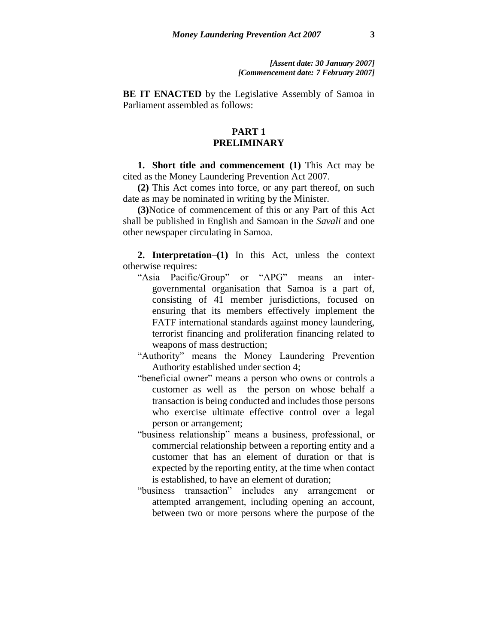**BE IT ENACTED** by the Legislative Assembly of Samoa in Parliament assembled as follows:

# **PART 1 PRELIMINARY**

**1. Short title and commencement**–**(1)** This Act may be cited as the Money Laundering Prevention Act 2007.

**(2)** This Act comes into force, or any part thereof, on such date as may be nominated in writing by the Minister.

**(3)**Notice of commencement of this or any Part of this Act shall be published in English and Samoan in the *Savali* and one other newspaper circulating in Samoa.

**2. Interpretation**–**(1)** In this Act, unless the context otherwise requires:

"Asia Pacific/Group" or "APG" means an intergovernmental organisation that Samoa is a part of, consisting of 41 member jurisdictions, focused on ensuring that its members effectively implement the FATF international standards against money laundering, terrorist financing and proliferation financing related to weapons of mass destruction;

"Authority" means the Money Laundering Prevention Authority established under section 4;

- "beneficial owner" means a person who owns or controls a customer as well as the person on whose behalf a transaction is being conducted and includes those persons who exercise ultimate effective control over a legal person or arrangement;
- "business relationship" means a business, professional, or commercial relationship between a reporting entity and a customer that has an element of duration or that is expected by the reporting entity, at the time when contact is established, to have an element of duration;
- "business transaction" includes any arrangement or attempted arrangement, including opening an account, between two or more persons where the purpose of the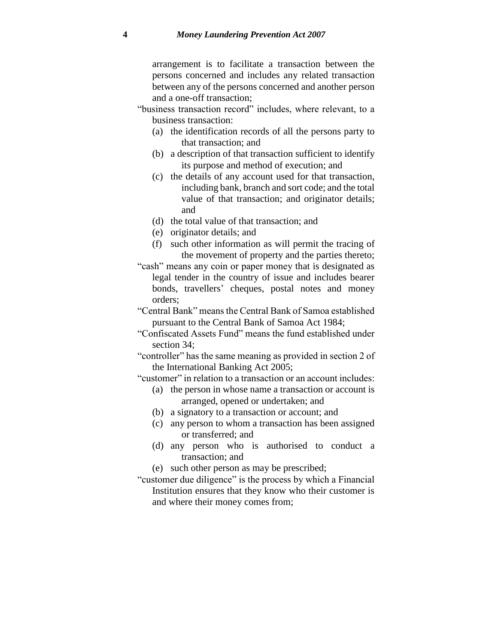arrangement is to facilitate a transaction between the persons concerned and includes any related transaction between any of the persons concerned and another person and a one-off transaction;

- "business transaction record" includes, where relevant, to a business transaction:
	- (a) the identification records of all the persons party to that transaction; and
	- (b) a description of that transaction sufficient to identify its purpose and method of execution; and
	- (c) the details of any account used for that transaction, including bank, branch and sort code; and the total value of that transaction; and originator details; and
	- (d) the total value of that transaction; and
	- (e) originator details; and
	- (f) such other information as will permit the tracing of the movement of property and the parties thereto;
- "cash" means any coin or paper money that is designated as legal tender in the country of issue and includes bearer bonds, travellers' cheques, postal notes and money orders;
- "Central Bank" means the Central Bank of Samoa established pursuant to the Central Bank of Samoa Act 1984;
- "Confiscated Assets Fund" means the fund established under section 34;
- "controller" has the same meaning as provided in section 2 of the International Banking Act 2005;

"customer" in relation to a transaction or an account includes:

- (a) the person in whose name a transaction or account is arranged, opened or undertaken; and
- (b) a signatory to a transaction or account; and
- (c) any person to whom a transaction has been assigned or transferred; and
- (d) any person who is authorised to conduct a transaction; and
- (e) such other person as may be prescribed;
- "customer due diligence" is the process by which a Financial Institution ensures that they know who their customer is and where their money comes from;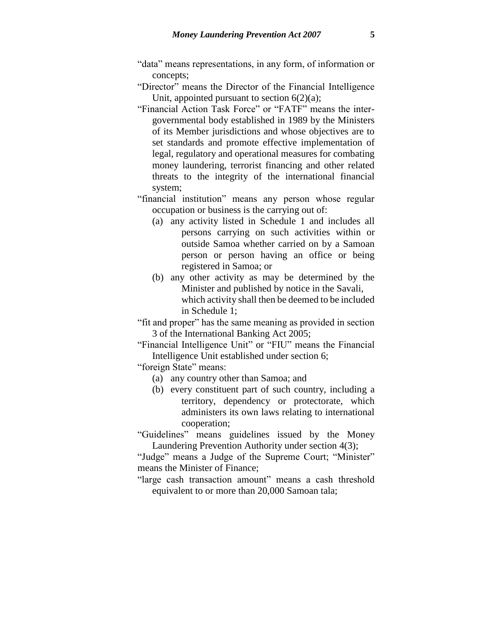- "data" means representations, in any form, of information or concepts;
- "Director" means the Director of the Financial Intelligence Unit, appointed pursuant to section  $6(2)(a)$ ;
- "Financial Action Task Force" or "FATF" means the intergovernmental body established in 1989 by the Ministers of its Member jurisdictions and whose objectives are to set standards and promote effective implementation of legal, regulatory and operational measures for combating money laundering, terrorist financing and other related threats to the integrity of the international financial system;
- "financial institution" means any person whose regular occupation or business is the carrying out of:
	- (a) any activity listed in Schedule 1 and includes all persons carrying on such activities within or outside Samoa whether carried on by a Samoan person or person having an office or being registered in Samoa; or
	- (b) any other activity as may be determined by the Minister and published by notice in the Savali, which activity shall then be deemed to be included in Schedule 1;
- "fit and proper" has the same meaning as provided in section 3 of the International Banking Act 2005;
- "Financial Intelligence Unit" or "FIU" means the Financial Intelligence Unit established under section 6;
- "foreign State" means:
	- (a) any country other than Samoa; and
	- (b) every constituent part of such country, including a territory, dependency or protectorate, which administers its own laws relating to international cooperation;
- "Guidelines" means guidelines issued by the Money Laundering Prevention Authority under section 4(3);

"Judge" means a Judge of the Supreme Court; "Minister" means the Minister of Finance;

"large cash transaction amount" means a cash threshold equivalent to or more than 20,000 Samoan tala;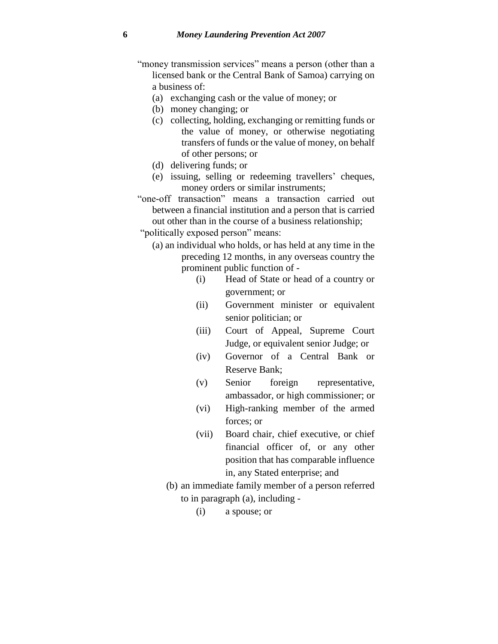- "money transmission services" means a person (other than a licensed bank or the Central Bank of Samoa) carrying on a business of:
	- (a) exchanging cash or the value of money; or
	- (b) money changing; or
	- (c) collecting, holding, exchanging or remitting funds or the value of money, or otherwise negotiating transfers of funds or the value of money, on behalf of other persons; or
	- (d) delivering funds; or
	- (e) issuing, selling or redeeming travellers' cheques, money orders or similar instruments;
- "one-off transaction" means a transaction carried out between a financial institution and a person that is carried out other than in the course of a business relationship;
- "politically exposed person" means:
	- (a) an individual who holds, or has held at any time in the preceding 12 months, in any overseas country the prominent public function of -
		- (i) Head of State or head of a country or government; or
		- (ii) Government minister or equivalent senior politician; or
		- (iii) Court of Appeal, Supreme Court Judge, or equivalent senior Judge; or
		- (iv) Governor of a Central Bank or Reserve Bank;
		- (v) Senior foreign representative, ambassador, or high commissioner; or
		- (vi) High-ranking member of the armed forces; or
		- (vii) Board chair, chief executive, or chief financial officer of, or any other position that has comparable influence in, any Stated enterprise; and
		- (b) an immediate family member of a person referred to in paragraph (a), including -
			- (i) a spouse; or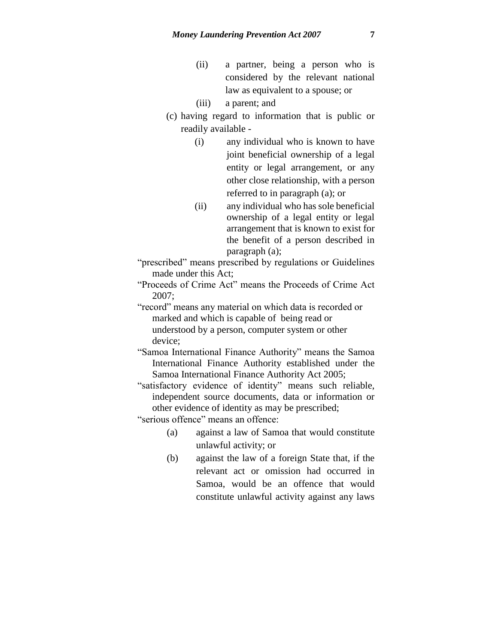- (ii) a partner, being a person who is considered by the relevant national law as equivalent to a spouse; or
- (iii) a parent; and
- (c) having regard to information that is public or readily available -
	- (i) any individual who is known to have joint beneficial ownership of a legal entity or legal arrangement, or any other close relationship, with a person referred to in paragraph (a); or
	- (ii) any individual who has sole beneficial ownership of a legal entity or legal arrangement that is known to exist for the benefit of a person described in paragraph (a);

"prescribed" means prescribed by regulations or Guidelines made under this Act;

"Proceeds of Crime Act" means the Proceeds of Crime Act 2007;

"record" means any material on which data is recorded or marked and which is capable of being read or understood by a person, computer system or other device;

"Samoa International Finance Authority" means the Samoa International Finance Authority established under the Samoa International Finance Authority Act 2005;

"satisfactory evidence of identity" means such reliable, independent source documents, data or information or other evidence of identity as may be prescribed;

"serious offence" means an offence:

- (a) against a law of Samoa that would constitute unlawful activity; or
- (b) against the law of a foreign State that, if the relevant act or omission had occurred in Samoa, would be an offence that would constitute unlawful activity against any laws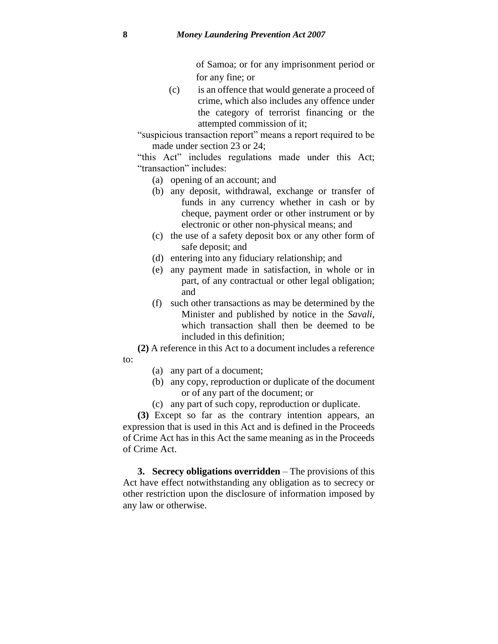of Samoa; or for any imprisonment period or for any fine; or

(c) is an offence that would generate a proceed of crime, which also includes any offence under the category of terrorist financing or the attempted commission of it;

"suspicious transaction report" means a report required to be made under section 23 or 24;

"this Act" includes regulations made under this Act; "transaction" includes:

- (a) opening of an account; and
- (b) any deposit, withdrawal, exchange or transfer of funds in any currency whether in cash or by cheque, payment order or other instrument or by electronic or other non-physical means; and
- (c) the use of a safety deposit box or any other form of safe deposit; and
- (d) entering into any fiduciary relationship; and
- (e) any payment made in satisfaction, in whole or in part, of any contractual or other legal obligation; and
- (f) such other transactions as may be determined by the Minister and published by notice in the *Savali*, which transaction shall then be deemed to be included in this definition;

**(2)** A reference in this Act to a document includes a reference to:

- (a) any part of a document;
- (b) any copy, reproduction or duplicate of the document or of any part of the document; or
- (c) any part of such copy, reproduction or duplicate.

**(3)** Except so far as the contrary intention appears, an expression that is used in this Act and is defined in the Proceeds of Crime Act has in this Act the same meaning as in the Proceeds of Crime Act.

**3. Secrecy obligations overridden** – The provisions of this Act have effect notwithstanding any obligation as to secrecy or other restriction upon the disclosure of information imposed by any law or otherwise.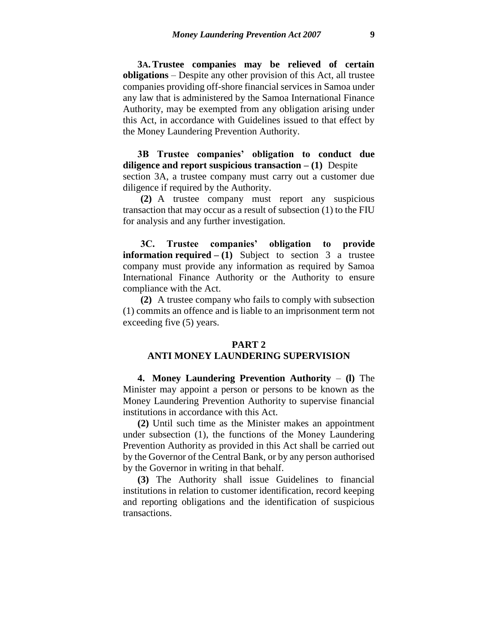**3A.Trustee companies may be relieved of certain obligations** – Despite any other provision of this Act, all trustee companies providing off-shore financial services in Samoa under any law that is administered by the Samoa International Finance Authority, may be exempted from any obligation arising under this Act, in accordance with Guidelines issued to that effect by the Money Laundering Prevention Authority.

**3B Trustee companies' obligation to conduct due diligence and report suspicious transaction – (1)** Despite section 3A, a trustee company must carry out a customer due diligence if required by the Authority.

**(2)** A trustee company must report any suspicious transaction that may occur as a result of subsection (1) to the FIU for analysis and any further investigation.

**3C. Trustee companies' obligation to provide information required – (1)** Subject to section 3 a trustee company must provide any information as required by Samoa International Finance Authority or the Authority to ensure compliance with the Act.

**(2)** A trustee company who fails to comply with subsection (1) commits an offence and is liable to an imprisonment term not exceeding five (5) years.

#### **PART 2**

#### **ANTI MONEY LAUNDERING SUPERVISION**

**4. Money Laundering Prevention Authority** – **(l)** The Minister may appoint a person or persons to be known as the Money Laundering Prevention Authority to supervise financial institutions in accordance with this Act.

**(2)** Until such time as the Minister makes an appointment under subsection (1), the functions of the Money Laundering Prevention Authority as provided in this Act shall be carried out by the Governor of the Central Bank, or by any person authorised by the Governor in writing in that behalf.

**(3)** The Authority shall issue Guidelines to financial institutions in relation to customer identification, record keeping and reporting obligations and the identification of suspicious transactions.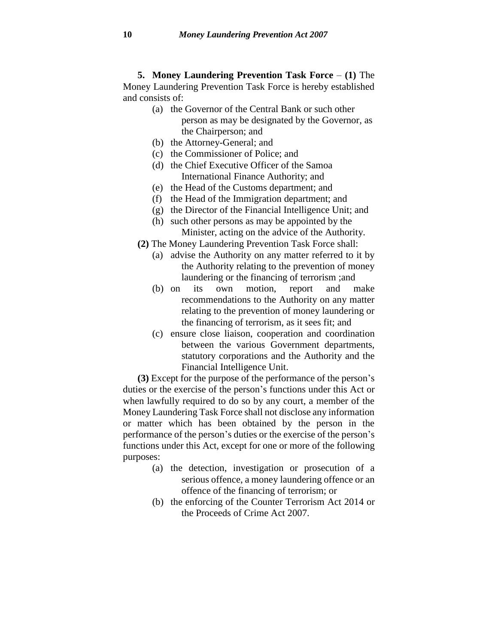**5. Money Laundering Prevention Task Force** – **(1)** The Money Laundering Prevention Task Force is hereby established and consists of:

- (a) the Governor of the Central Bank or such other person as may be designated by the Governor, as the Chairperson; and
- (b) the Attorney-General; and
- (c) the Commissioner of Police; and
- (d) the Chief Executive Officer of the Samoa International Finance Authority; and
- (e) the Head of the Customs department; and
- (f) the Head of the Immigration department; and
- (g) the Director of the Financial Intelligence Unit; and
- (h) such other persons as may be appointed by the Minister, acting on the advice of the Authority.
- **(2)** The Money Laundering Prevention Task Force shall:
	- (a) advise the Authority on any matter referred to it by the Authority relating to the prevention of money laundering or the financing of terrorism ;and
	- (b) on its own motion, report and make recommendations to the Authority on any matter relating to the prevention of money laundering or the financing of terrorism, as it sees fit; and
	- (c) ensure close liaison, cooperation and coordination between the various Government departments, statutory corporations and the Authority and the Financial Intelligence Unit.

**(3)** Except for the purpose of the performance of the person's duties or the exercise of the person's functions under this Act or when lawfully required to do so by any court, a member of the Money Laundering Task Force shall not disclose any information or matter which has been obtained by the person in the performance of the person's duties or the exercise of the person's functions under this Act, except for one or more of the following purposes:

- (a) the detection, investigation or prosecution of a serious offence, a money laundering offence or an offence of the financing of terrorism; or
- (b) the enforcing of the Counter Terrorism Act 2014 or the Proceeds of Crime Act 2007.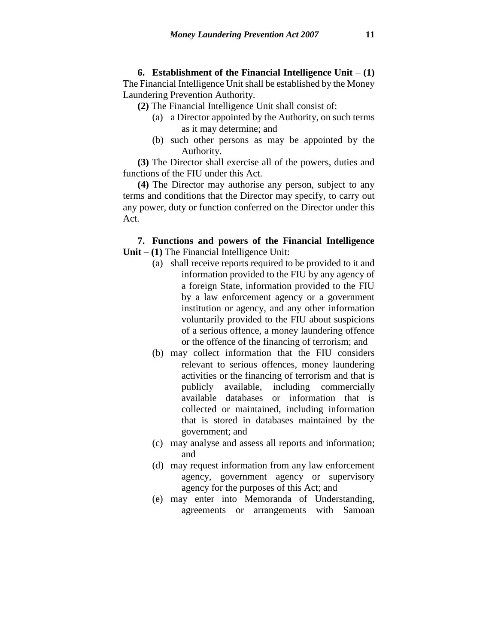**6. Establishment of the Financial Intelligence Unit** – **(1)** The Financial Intelligence Unit shall be established by the Money Laundering Prevention Authority.

**(2)** The Financial Intelligence Unit shall consist of:

- (a) a Director appointed by the Authority, on such terms as it may determine; and
- (b) such other persons as may be appointed by the Authority.

**(3)** The Director shall exercise all of the powers, duties and functions of the FIU under this Act.

**(4)** The Director may authorise any person, subject to any terms and conditions that the Director may specify, to carry out any power, duty or function conferred on the Director under this Act.

### **7. Functions and powers of the Financial Intelligence Unit** – **(1)** The Financial Intelligence Unit:

- (a) shall receive reports required to be provided to it and information provided to the FIU by any agency of a foreign State, information provided to the FIU by a law enforcement agency or a government institution or agency, and any other information voluntarily provided to the FIU about suspicions of a serious offence, a money laundering offence or the offence of the financing of terrorism; and
- (b) may collect information that the FIU considers relevant to serious offences, money laundering activities or the financing of terrorism and that is publicly available, including commercially available databases or information that is collected or maintained, including information that is stored in databases maintained by the government; and
- (c) may analyse and assess all reports and information; and
- (d) may request information from any law enforcement agency, government agency or supervisory agency for the purposes of this Act; and
- (e) may enter into Memoranda of Understanding, agreements or arrangements with Samoan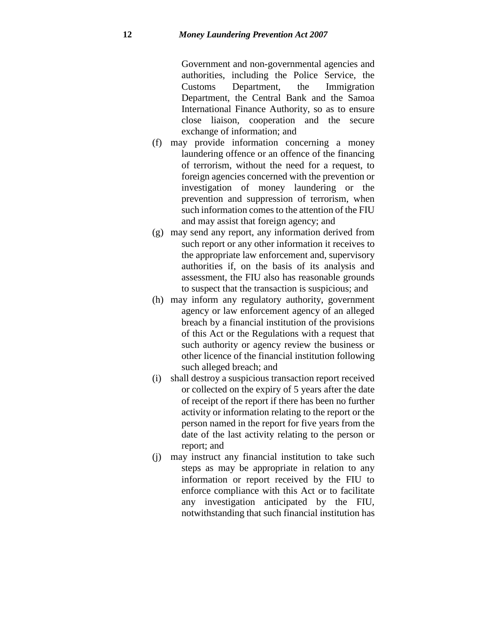Government and non-governmental agencies and authorities, including the Police Service, the Customs Department, the Immigration Department, the Central Bank and the Samoa International Finance Authority, so as to ensure close liaison, cooperation and the secure exchange of information; and

- (f) may provide information concerning a money laundering offence or an offence of the financing of terrorism, without the need for a request, to foreign agencies concerned with the prevention or investigation of money laundering or the prevention and suppression of terrorism, when such information comes to the attention of the FIU and may assist that foreign agency; and
- (g) may send any report, any information derived from such report or any other information it receives to the appropriate law enforcement and, supervisory authorities if, on the basis of its analysis and assessment, the FIU also has reasonable grounds to suspect that the transaction is suspicious; and
- (h) may inform any regulatory authority, government agency or law enforcement agency of an alleged breach by a financial institution of the provisions of this Act or the Regulations with a request that such authority or agency review the business or other licence of the financial institution following such alleged breach; and
- (i) shall destroy a suspicious transaction report received or collected on the expiry of 5 years after the date of receipt of the report if there has been no further activity or information relating to the report or the person named in the report for five years from the date of the last activity relating to the person or report; and
- (j) may instruct any financial institution to take such steps as may be appropriate in relation to any information or report received by the FIU to enforce compliance with this Act or to facilitate any investigation anticipated by the FIU, notwithstanding that such financial institution has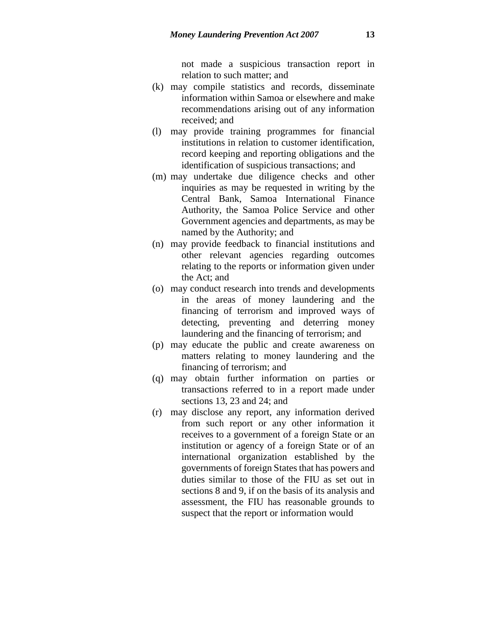not made a suspicious transaction report in relation to such matter; and

- (k) may compile statistics and records, disseminate information within Samoa or elsewhere and make recommendations arising out of any information received; and
- (l) may provide training programmes for financial institutions in relation to customer identification, record keeping and reporting obligations and the identification of suspicious transactions; and
- (m) may undertake due diligence checks and other inquiries as may be requested in writing by the Central Bank, Samoa International Finance Authority, the Samoa Police Service and other Government agencies and departments, as may be named by the Authority; and
- (n) may provide feedback to financial institutions and other relevant agencies regarding outcomes relating to the reports or information given under the Act; and
- (o) may conduct research into trends and developments in the areas of money laundering and the financing of terrorism and improved ways of detecting, preventing and deterring money laundering and the financing of terrorism; and
- (p) may educate the public and create awareness on matters relating to money laundering and the financing of terrorism; and
- (q) may obtain further information on parties or transactions referred to in a report made under sections 13, 23 and 24; and
- (r) may disclose any report, any information derived from such report or any other information it receives to a government of a foreign State or an institution or agency of a foreign State or of an international organization established by the governments of foreign States that has powers and duties similar to those of the FIU as set out in sections 8 and 9, if on the basis of its analysis and assessment, the FIU has reasonable grounds to suspect that the report or information would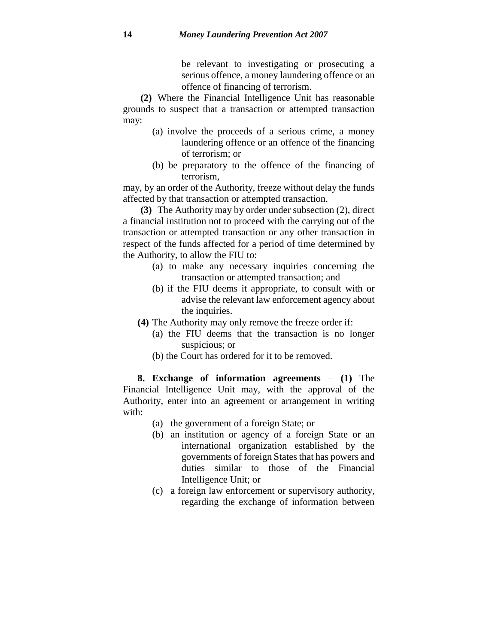be relevant to investigating or prosecuting a serious offence, a money laundering offence or an offence of financing of terrorism.

**(2)** Where the Financial Intelligence Unit has reasonable grounds to suspect that a transaction or attempted transaction may:

- (a) involve the proceeds of a serious crime, a money laundering offence or an offence of the financing of terrorism; or
- (b) be preparatory to the offence of the financing of terrorism,

may, by an order of the Authority, freeze without delay the funds affected by that transaction or attempted transaction.

**(3)** The Authority may by order under subsection (2), direct a financial institution not to proceed with the carrying out of the transaction or attempted transaction or any other transaction in respect of the funds affected for a period of time determined by the Authority, to allow the FIU to:

- (a) to make any necessary inquiries concerning the transaction or attempted transaction; and
- (b) if the FIU deems it appropriate, to consult with or advise the relevant law enforcement agency about the inquiries.
- **(4)** The Authority may only remove the freeze order if:
	- (a) the FIU deems that the transaction is no longer suspicious; or
	- (b) the Court has ordered for it to be removed.

**8. Exchange of information agreements** – **(1)** The Financial Intelligence Unit may, with the approval of the Authority, enter into an agreement or arrangement in writing with:

- (a) the government of a foreign State; or
- (b) an institution or agency of a foreign State or an international organization established by the governments of foreign States that has powers and duties similar to those of the Financial Intelligence Unit; or
- (c) a foreign law enforcement or supervisory authority, regarding the exchange of information between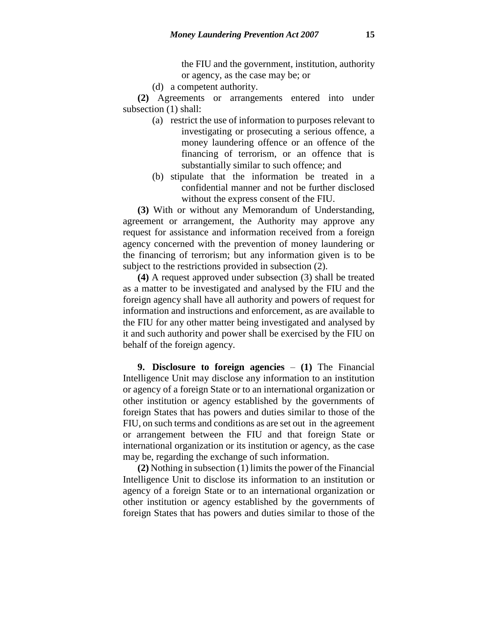the FIU and the government, institution, authority or agency, as the case may be; or

(d) a competent authority.

**(2)** Agreements or arrangements entered into under subsection (1) shall:

- (a) restrict the use of information to purposes relevant to investigating or prosecuting a serious offence, a money laundering offence or an offence of the financing of terrorism, or an offence that is substantially similar to such offence; and
- (b) stipulate that the information be treated in a confidential manner and not be further disclosed without the express consent of the FIU.

**(3)** With or without any Memorandum of Understanding, agreement or arrangement, the Authority may approve any request for assistance and information received from a foreign agency concerned with the prevention of money laundering or the financing of terrorism; but any information given is to be subject to the restrictions provided in subsection (2).

**(4)** A request approved under subsection (3) shall be treated as a matter to be investigated and analysed by the FIU and the foreign agency shall have all authority and powers of request for information and instructions and enforcement, as are available to the FIU for any other matter being investigated and analysed by it and such authority and power shall be exercised by the FIU on behalf of the foreign agency.

**9. Disclosure to foreign agencies** – **(1)** The Financial Intelligence Unit may disclose any information to an institution or agency of a foreign State or to an international organization or other institution or agency established by the governments of foreign States that has powers and duties similar to those of the FIU, on such terms and conditions as are set out in the agreement or arrangement between the FIU and that foreign State or international organization or its institution or agency, as the case may be, regarding the exchange of such information.

**(2)** Nothing in subsection (1) limitsthe power of the Financial Intelligence Unit to disclose its information to an institution or agency of a foreign State or to an international organization or other institution or agency established by the governments of foreign States that has powers and duties similar to those of the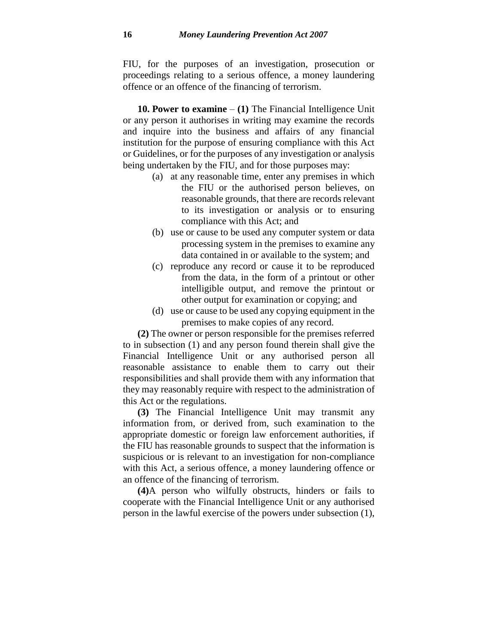FIU, for the purposes of an investigation, prosecution or proceedings relating to a serious offence, a money laundering offence or an offence of the financing of terrorism.

**10. Power to examine** – **(1)** The Financial Intelligence Unit or any person it authorises in writing may examine the records and inquire into the business and affairs of any financial institution for the purpose of ensuring compliance with this Act or Guidelines, or for the purposes of any investigation or analysis being undertaken by the FIU, and for those purposes may:

- (a) at any reasonable time, enter any premises in which the FIU or the authorised person believes, on reasonable grounds, that there are records relevant to its investigation or analysis or to ensuring compliance with this Act; and
- (b) use or cause to be used any computer system or data processing system in the premises to examine any data contained in or available to the system; and
- (c) reproduce any record or cause it to be reproduced from the data, in the form of a printout or other intelligible output, and remove the printout or other output for examination or copying; and
- (d) use or cause to be used any copying equipment in the premises to make copies of any record.

**(2)** The owner or person responsible for the premises referred to in subsection (1) and any person found therein shall give the Financial Intelligence Unit or any authorised person all reasonable assistance to enable them to carry out their responsibilities and shall provide them with any information that they may reasonably require with respect to the administration of this Act or the regulations.

**(3)** The Financial Intelligence Unit may transmit any information from, or derived from, such examination to the appropriate domestic or foreign law enforcement authorities, if the FIU has reasonable grounds to suspect that the information is suspicious or is relevant to an investigation for non-compliance with this Act, a serious offence, a money laundering offence or an offence of the financing of terrorism.

**(4)**A person who wilfully obstructs, hinders or fails to cooperate with the Financial Intelligence Unit or any authorised person in the lawful exercise of the powers under subsection (1),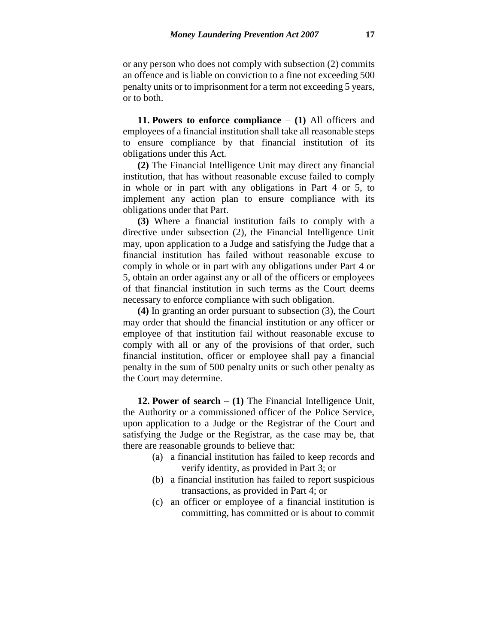or any person who does not comply with subsection (2) commits an offence and is liable on conviction to a fine not exceeding 500 penalty units or to imprisonment for a term not exceeding 5 years, or to both.

**11. Powers to enforce compliance** – **(1)** All officers and employees of a financial institution shall take all reasonable steps to ensure compliance by that financial institution of its obligations under this Act.

**(2)** The Financial Intelligence Unit may direct any financial institution, that has without reasonable excuse failed to comply in whole or in part with any obligations in Part 4 or 5, to implement any action plan to ensure compliance with its obligations under that Part.

**(3)** Where a financial institution fails to comply with a directive under subsection (2), the Financial Intelligence Unit may, upon application to a Judge and satisfying the Judge that a financial institution has failed without reasonable excuse to comply in whole or in part with any obligations under Part 4 or 5, obtain an order against any or all of the officers or employees of that financial institution in such terms as the Court deems necessary to enforce compliance with such obligation.

**(4)** In granting an order pursuant to subsection (3), the Court may order that should the financial institution or any officer or employee of that institution fail without reasonable excuse to comply with all or any of the provisions of that order, such financial institution, officer or employee shall pay a financial penalty in the sum of 500 penalty units or such other penalty as the Court may determine.

**12. Power of search** – **(1)** The Financial Intelligence Unit, the Authority or a commissioned officer of the Police Service, upon application to a Judge or the Registrar of the Court and satisfying the Judge or the Registrar, as the case may be, that there are reasonable grounds to believe that:

- (a) a financial institution has failed to keep records and verify identity, as provided in Part 3; or
- (b) a financial institution has failed to report suspicious transactions, as provided in Part 4; or
- (c) an officer or employee of a financial institution is committing, has committed or is about to commit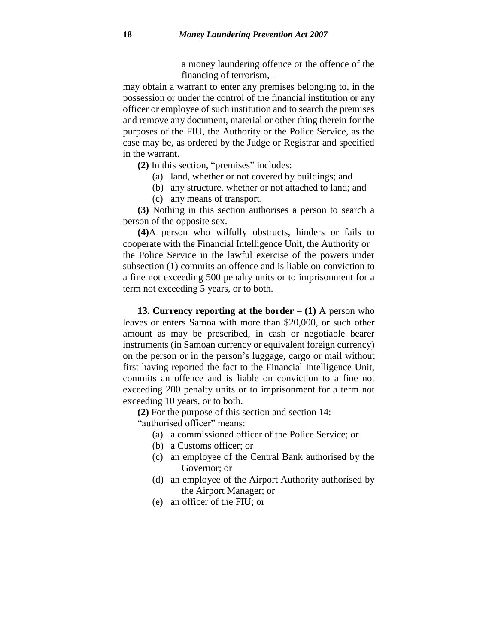a money laundering offence or the offence of the financing of terrorism, –

may obtain a warrant to enter any premises belonging to, in the possession or under the control of the financial institution or any officer or employee of such institution and to search the premises and remove any document, material or other thing therein for the purposes of the FIU, the Authority or the Police Service, as the case may be, as ordered by the Judge or Registrar and specified in the warrant.

**(2)** In this section, "premises" includes:

- (a) land, whether or not covered by buildings; and
- (b) any structure, whether or not attached to land; and
- (c) any means of transport.

**(3)** Nothing in this section authorises a person to search a person of the opposite sex.

**(4)**A person who wilfully obstructs, hinders or fails to cooperate with the Financial Intelligence Unit, the Authority or the Police Service in the lawful exercise of the powers under subsection (1) commits an offence and is liable on conviction to a fine not exceeding 500 penalty units or to imprisonment for a term not exceeding 5 years, or to both.

**13. Currency reporting at the border** – **(1)** A person who leaves or enters Samoa with more than \$20,000, or such other amount as may be prescribed, in cash or negotiable bearer instruments (in Samoan currency or equivalent foreign currency) on the person or in the person's luggage, cargo or mail without first having reported the fact to the Financial Intelligence Unit, commits an offence and is liable on conviction to a fine not exceeding 200 penalty units or to imprisonment for a term not exceeding 10 years, or to both.

**(2)** For the purpose of this section and section 14: "authorised officer" means:

- (a) a commissioned officer of the Police Service; or
- (b) a Customs officer; or
- (c) an employee of the Central Bank authorised by the Governor; or
- (d) an employee of the Airport Authority authorised by the Airport Manager; or
- (e) an officer of the FIU; or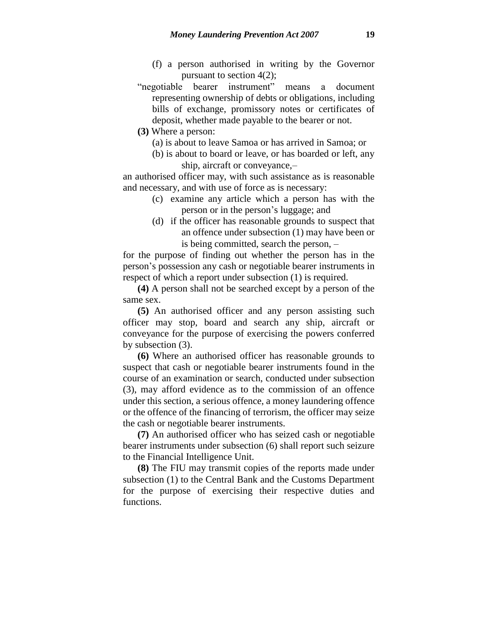- (f) a person authorised in writing by the Governor pursuant to section 4(2);
- "negotiable bearer instrument" means a document representing ownership of debts or obligations, including bills of exchange, promissory notes or certificates of deposit, whether made payable to the bearer or not.
- **(3)** Where a person:
	- (a) is about to leave Samoa or has arrived in Samoa; or
	- (b) is about to board or leave, or has boarded or left, any ship, aircraft or conveyance,–

an authorised officer may, with such assistance as is reasonable and necessary, and with use of force as is necessary:

- (c) examine any article which a person has with the person or in the person's luggage; and
- (d) if the officer has reasonable grounds to suspect that an offence under subsection (1) may have been or is being committed, search the person, –

for the purpose of finding out whether the person has in the person's possession any cash or negotiable bearer instruments in respect of which a report under subsection (1) is required.

**(4)** A person shall not be searched except by a person of the same sex.

**(5)** An authorised officer and any person assisting such officer may stop, board and search any ship, aircraft or conveyance for the purpose of exercising the powers conferred by subsection (3).

**(6)** Where an authorised officer has reasonable grounds to suspect that cash or negotiable bearer instruments found in the course of an examination or search, conducted under subsection (3), may afford evidence as to the commission of an offence under this section, a serious offence, a money laundering offence or the offence of the financing of terrorism, the officer may seize the cash or negotiable bearer instruments.

**(7)** An authorised officer who has seized cash or negotiable bearer instruments under subsection (6) shall report such seizure to the Financial Intelligence Unit.

**(8)** The FIU may transmit copies of the reports made under subsection (1) to the Central Bank and the Customs Department for the purpose of exercising their respective duties and functions.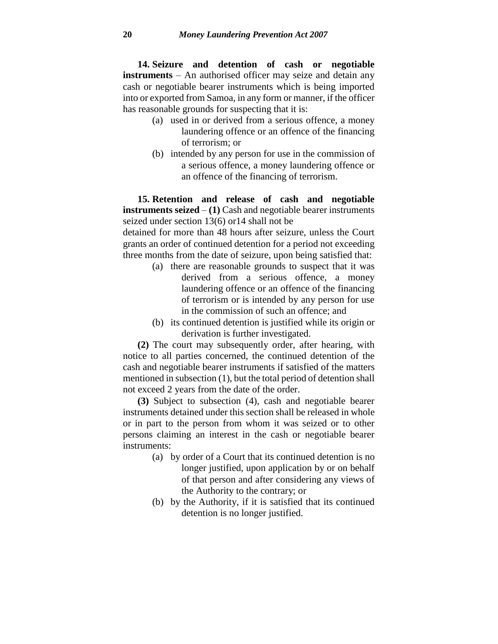**14. Seizure and detention of cash or negotiable instruments** – An authorised officer may seize and detain any cash or negotiable bearer instruments which is being imported into or exported from Samoa, in any form or manner, if the officer has reasonable grounds for suspecting that it is:

- (a) used in or derived from a serious offence, a money laundering offence or an offence of the financing of terrorism; or
- (b) intended by any person for use in the commission of a serious offence, a money laundering offence or an offence of the financing of terrorism.

**15. Retention and release of cash and negotiable instruments seized** – **(1)** Cash and negotiable bearer instruments seized under section 13(6) or14 shall not be

detained for more than 48 hours after seizure, unless the Court grants an order of continued detention for a period not exceeding three months from the date of seizure, upon being satisfied that:

- (a) there are reasonable grounds to suspect that it was derived from a serious offence, a money laundering offence or an offence of the financing of terrorism or is intended by any person for use in the commission of such an offence; and
- (b) its continued detention is justified while its origin or derivation is further investigated.

**(2)** The court may subsequently order, after hearing, with notice to all parties concerned, the continued detention of the cash and negotiable bearer instruments if satisfied of the matters mentioned in subsection (1), but the total period of detention shall not exceed 2 years from the date of the order.

**(3)** Subject to subsection (4), cash and negotiable bearer instruments detained under this section shall be released in whole or in part to the person from whom it was seized or to other persons claiming an interest in the cash or negotiable bearer instruments:

- (a) by order of a Court that its continued detention is no longer justified, upon application by or on behalf of that person and after considering any views of the Authority to the contrary; or
- (b) by the Authority, if it is satisfied that its continued detention is no longer justified.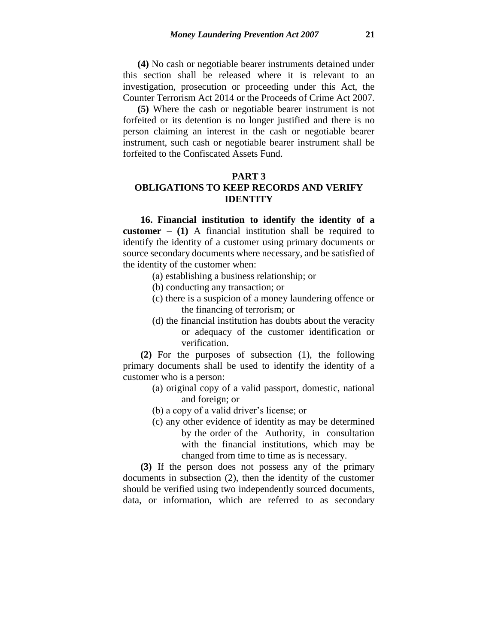**(4)** No cash or negotiable bearer instruments detained under this section shall be released where it is relevant to an investigation, prosecution or proceeding under this Act, the Counter Terrorism Act 2014 or the Proceeds of Crime Act 2007.

**(5)** Where the cash or negotiable bearer instrument is not forfeited or its detention is no longer justified and there is no person claiming an interest in the cash or negotiable bearer instrument, such cash or negotiable bearer instrument shall be forfeited to the Confiscated Assets Fund.

#### **PART 3**

# **OBLIGATIONS TO KEEP RECORDS AND VERIFY IDENTITY**

**16. Financial institution to identify the identity of a customer** – **(1)** A financial institution shall be required to identify the identity of a customer using primary documents or source secondary documents where necessary, and be satisfied of the identity of the customer when:

- (a) establishing a business relationship; or
- (b) conducting any transaction; or
- (c) there is a suspicion of a money laundering offence or the financing of terrorism; or
- (d) the financial institution has doubts about the veracity or adequacy of the customer identification or verification.

**(2)** For the purposes of subsection (1), the following primary documents shall be used to identify the identity of a customer who is a person:

- (a) original copy of a valid passport, domestic, national and foreign; or
- (b) a copy of a valid driver's license; or
- (c) any other evidence of identity as may be determined by the order of the Authority, in consultation with the financial institutions, which may be changed from time to time as is necessary.

**(3)** If the person does not possess any of the primary documents in subsection (2), then the identity of the customer should be verified using two independently sourced documents, data, or information, which are referred to as secondary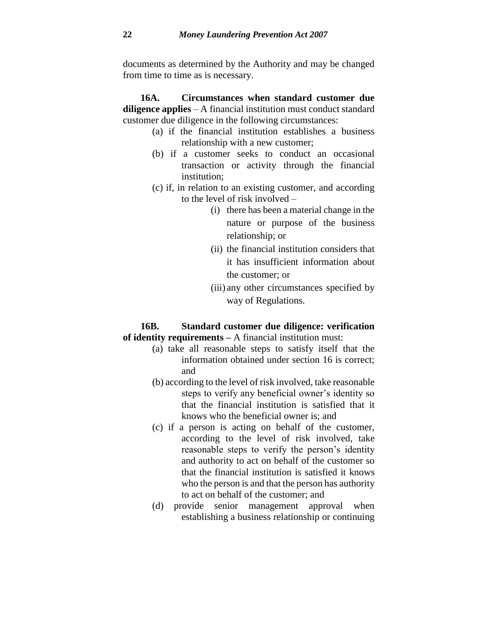documents as determined by the Authority and may be changed from time to time as is necessary.

**16A. Circumstances when standard customer due diligence applies** – A financial institution must conduct standard customer due diligence in the following circumstances:

- (a) if the financial institution establishes a business relationship with a new customer;
- (b) if a customer seeks to conduct an occasional transaction or activity through the financial institution;
- (c) if, in relation to an existing customer, and according to the level of risk involved –
	- (i) there has been a material change in the nature or purpose of the business relationship; or
	- (ii) the financial institution considers that it has insufficient information about the customer; or
	- (iii) any other circumstances specified by way of Regulations.

### **16B. Standard customer due diligence: verification of identity requirements –** A financial institution must:

- (a) take all reasonable steps to satisfy itself that the information obtained under section 16 is correct; and
- (b) according to the level of risk involved, take reasonable steps to verify any beneficial owner's identity so that the financial institution is satisfied that it knows who the beneficial owner is; and
- (c) if a person is acting on behalf of the customer, according to the level of risk involved, take reasonable steps to verify the person's identity and authority to act on behalf of the customer so that the financial institution is satisfied it knows who the person is and that the person has authority to act on behalf of the customer; and
- (d) provide senior management approval when establishing a business relationship or continuing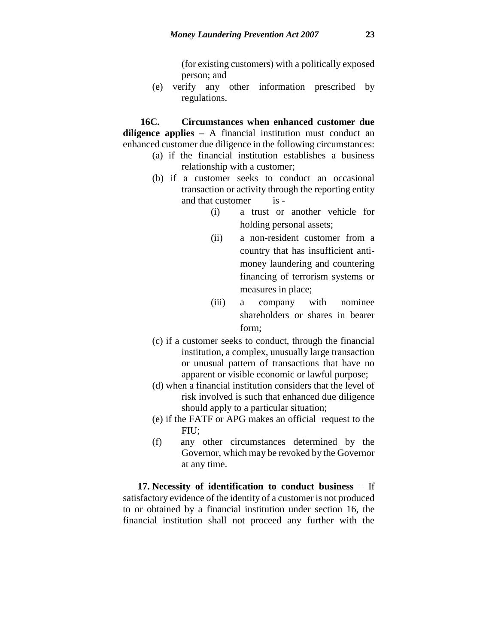(for existing customers) with a politically exposed person; and

(e) verify any other information prescribed by regulations.

**16C. Circumstances when enhanced customer due diligence applies –** A financial institution must conduct an enhanced customer due diligence in the following circumstances:

- (a) if the financial institution establishes a business relationship with a customer;
- (b) if a customer seeks to conduct an occasional transaction or activity through the reporting entity and that customer is -
	- (i) a trust or another vehicle for holding personal assets;
	- (ii) a non-resident customer from a country that has insufficient antimoney laundering and countering financing of terrorism systems or measures in place;
	- (iii) a company with nominee shareholders or shares in bearer form;
- (c) if a customer seeks to conduct, through the financial institution, a complex, unusually large transaction or unusual pattern of transactions that have no apparent or visible economic or lawful purpose;
- (d) when a financial institution considers that the level of risk involved is such that enhanced due diligence should apply to a particular situation;
- (e) if the FATF or APG makes an official request to the FIU;
- (f) any other circumstances determined by the Governor, which may be revoked by the Governor at any time.

**17. Necessity of identification to conduct business** – If satisfactory evidence of the identity of a customer is not produced to or obtained by a financial institution under section 16, the financial institution shall not proceed any further with the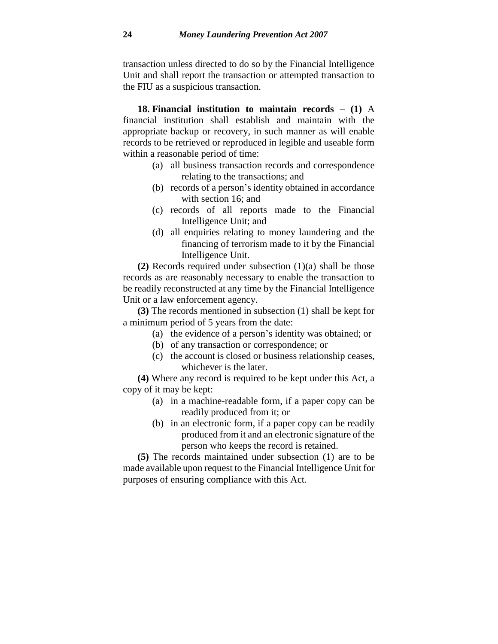transaction unless directed to do so by the Financial Intelligence Unit and shall report the transaction or attempted transaction to the FIU as a suspicious transaction.

**18. Financial institution to maintain records** – **(1)** A financial institution shall establish and maintain with the appropriate backup or recovery, in such manner as will enable records to be retrieved or reproduced in legible and useable form within a reasonable period of time:

- (a) all business transaction records and correspondence relating to the transactions; and
- (b) records of a person's identity obtained in accordance with section 16; and
- (c) records of all reports made to the Financial Intelligence Unit; and
- (d) all enquiries relating to money laundering and the financing of terrorism made to it by the Financial Intelligence Unit.

**(2)** Records required under subsection (1)(a) shall be those records as are reasonably necessary to enable the transaction to be readily reconstructed at any time by the Financial Intelligence Unit or a law enforcement agency.

**(3)** The records mentioned in subsection (1) shall be kept for a minimum period of 5 years from the date:

- (a) the evidence of a person's identity was obtained; or
- (b) of any transaction or correspondence; or
- (c) the account is closed or business relationship ceases, whichever is the later.

**(4)** Where any record is required to be kept under this Act, a copy of it may be kept:

- (a) in a machine-readable form, if a paper copy can be readily produced from it; or
- (b) in an electronic form, if a paper copy can be readily produced from it and an electronic signature of the person who keeps the record is retained.

**(5)** The records maintained under subsection (1) are to be made available upon request to the Financial Intelligence Unit for purposes of ensuring compliance with this Act.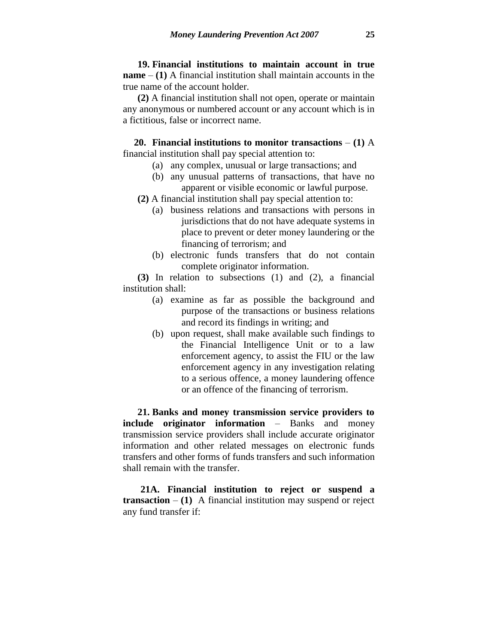**19. Financial institutions to maintain account in true name** – **(1)** A financial institution shall maintain accounts in the true name of the account holder.

**(2)** A financial institution shall not open, operate or maintain any anonymous or numbered account or any account which is in a fictitious, false or incorrect name.

**20. Financial institutions to monitor transactions** – **(1)** A financial institution shall pay special attention to:

- (a) any complex, unusual or large transactions; and
- (b) any unusual patterns of transactions, that have no apparent or visible economic or lawful purpose.
- **(2)** A financial institution shall pay special attention to:
	- (a) business relations and transactions with persons in jurisdictions that do not have adequate systems in place to prevent or deter money laundering or the financing of terrorism; and
	- (b) electronic funds transfers that do not contain complete originator information.

**(3)** In relation to subsections (1) and (2), a financial institution shall:

- (a) examine as far as possible the background and purpose of the transactions or business relations and record its findings in writing; and
- (b) upon request, shall make available such findings to the Financial Intelligence Unit or to a law enforcement agency, to assist the FIU or the law enforcement agency in any investigation relating to a serious offence, a money laundering offence or an offence of the financing of terrorism.

**21. Banks and money transmission service providers to include originator information** – Banks and money transmission service providers shall include accurate originator information and other related messages on electronic funds transfers and other forms of funds transfers and such information shall remain with the transfer.

**21A. Financial institution to reject or suspend a transaction** –  $(1)$  A financial institution may suspend or reject any fund transfer if: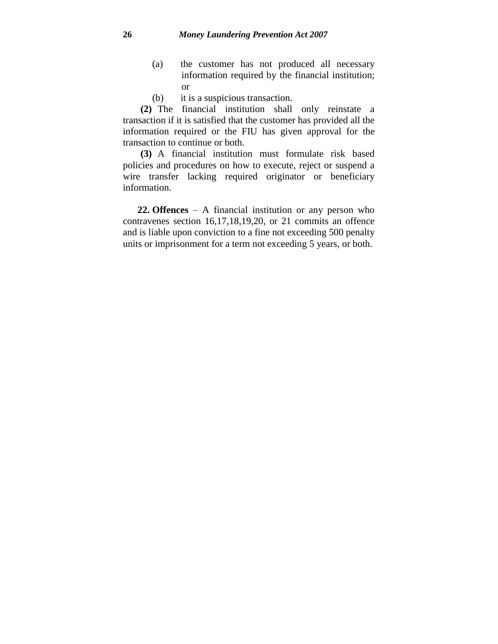- (a) the customer has not produced all necessary information required by the financial institution; or
- (b) it is a suspicious transaction.

**(2)** The financial institution shall only reinstate a transaction if it is satisfied that the customer has provided all the information required or the FIU has given approval for the transaction to continue or both.

**(3)** A financial institution must formulate risk based policies and procedures on how to execute, reject or suspend a wire transfer lacking required originator or beneficiary information.

**22. Offences** – A financial institution or any person who contravenes section 16,17,18,19,20, or 21 commits an offence and is liable upon conviction to a fine not exceeding 500 penalty units or imprisonment for a term not exceeding 5 years, or both.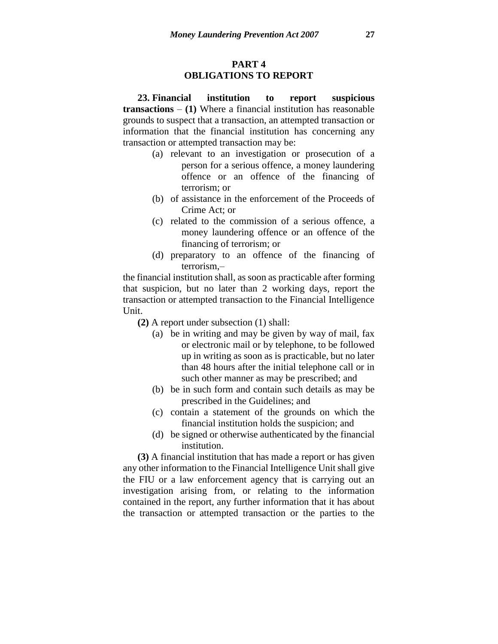### **PART 4 OBLIGATIONS TO REPORT**

**23. Financial institution to report suspicious transactions** – **(1)** Where a financial institution has reasonable grounds to suspect that a transaction, an attempted transaction or information that the financial institution has concerning any transaction or attempted transaction may be:

- (a) relevant to an investigation or prosecution of a person for a serious offence, a money laundering offence or an offence of the financing of terrorism; or
- (b) of assistance in the enforcement of the Proceeds of Crime Act; or
- (c) related to the commission of a serious offence, a money laundering offence or an offence of the financing of terrorism; or
- (d) preparatory to an offence of the financing of terrorism,–

the financial institution shall, as soon as practicable after forming that suspicion, but no later than 2 working days, report the transaction or attempted transaction to the Financial Intelligence Unit.

**(2)** A report under subsection (1) shall:

- (a) be in writing and may be given by way of mail, fax or electronic mail or by telephone, to be followed up in writing as soon as is practicable, but no later than 48 hours after the initial telephone call or in such other manner as may be prescribed; and
- (b) be in such form and contain such details as may be prescribed in the Guidelines; and
- (c) contain a statement of the grounds on which the financial institution holds the suspicion; and
- (d) be signed or otherwise authenticated by the financial institution.

**(3)** A financial institution that has made a report or has given any other information to the Financial Intelligence Unit shall give the FIU or a law enforcement agency that is carrying out an investigation arising from, or relating to the information contained in the report, any further information that it has about the transaction or attempted transaction or the parties to the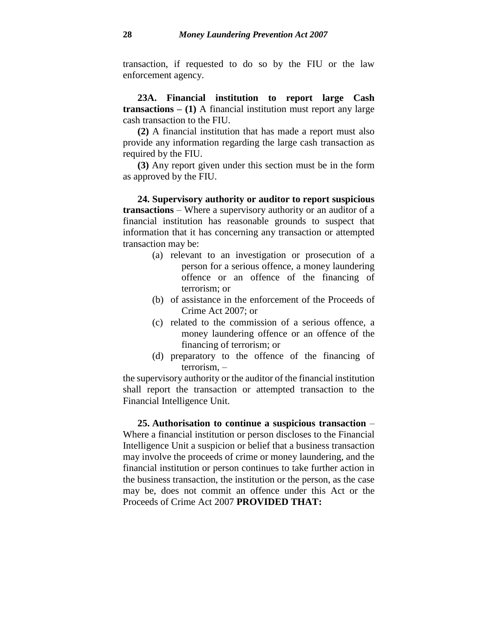transaction, if requested to do so by the FIU or the law enforcement agency.

**23A. Financial institution to report large Cash transactions – (1)** A financial institution must report any large cash transaction to the FIU.

**(2)** A financial institution that has made a report must also provide any information regarding the large cash transaction as required by the FIU.

**(3)** Any report given under this section must be in the form as approved by the FIU.

**24. Supervisory authority or auditor to report suspicious transactions** – Where a supervisory authority or an auditor of a financial institution has reasonable grounds to suspect that information that it has concerning any transaction or attempted transaction may be:

- (a) relevant to an investigation or prosecution of a person for a serious offence, a money laundering offence or an offence of the financing of terrorism; or
- (b) of assistance in the enforcement of the Proceeds of Crime Act 2007; or
- (c) related to the commission of a serious offence, a money laundering offence or an offence of the financing of terrorism; or
- (d) preparatory to the offence of the financing of terrorism, –

the supervisory authority or the auditor of the financial institution shall report the transaction or attempted transaction to the Financial Intelligence Unit.

**25. Authorisation to continue a suspicious transaction** – Where a financial institution or person discloses to the Financial Intelligence Unit a suspicion or belief that a business transaction may involve the proceeds of crime or money laundering, and the financial institution or person continues to take further action in the business transaction, the institution or the person, as the case may be, does not commit an offence under this Act or the Proceeds of Crime Act 2007 **PROVIDED THAT:**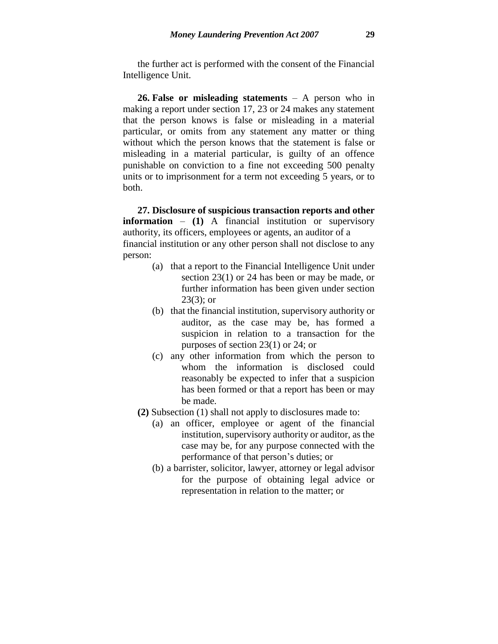the further act is performed with the consent of the Financial Intelligence Unit.

**26. False or misleading statements** – A person who in making a report under section 17, 23 or 24 makes any statement that the person knows is false or misleading in a material particular, or omits from any statement any matter or thing without which the person knows that the statement is false or misleading in a material particular, is guilty of an offence punishable on conviction to a fine not exceeding 500 penalty units or to imprisonment for a term not exceeding 5 years, or to both.

**27. Disclosure of suspicious transaction reports and other information** – **(1)** A financial institution or supervisory authority, its officers, employees or agents, an auditor of a financial institution or any other person shall not disclose to any person:

- (a) that a report to the Financial Intelligence Unit under section 23(1) or 24 has been or may be made, or further information has been given under section 23(3); or
- (b) that the financial institution, supervisory authority or auditor, as the case may be, has formed a suspicion in relation to a transaction for the purposes of section 23(1) or 24; or
- (c) any other information from which the person to whom the information is disclosed could reasonably be expected to infer that a suspicion has been formed or that a report has been or may be made.
- **(2)** Subsection (1) shall not apply to disclosures made to:
	- (a) an officer, employee or agent of the financial institution, supervisory authority or auditor, as the case may be, for any purpose connected with the performance of that person's duties; or
	- (b) a barrister, solicitor, lawyer, attorney or legal advisor for the purpose of obtaining legal advice or representation in relation to the matter; or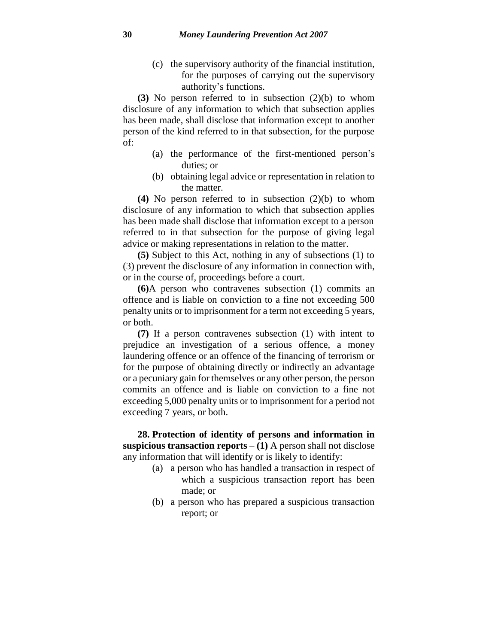(c) the supervisory authority of the financial institution, for the purposes of carrying out the supervisory authority's functions.

**(3)** No person referred to in subsection (2)(b) to whom disclosure of any information to which that subsection applies has been made, shall disclose that information except to another person of the kind referred to in that subsection, for the purpose of:

- (a) the performance of the first-mentioned person's duties; or
- (b) obtaining legal advice or representation in relation to the matter.

**(4)** No person referred to in subsection (2)(b) to whom disclosure of any information to which that subsection applies has been made shall disclose that information except to a person referred to in that subsection for the purpose of giving legal advice or making representations in relation to the matter.

**(5)** Subject to this Act, nothing in any of subsections (1) to (3) prevent the disclosure of any information in connection with, or in the course of, proceedings before a court.

**(6)**A person who contravenes subsection (1) commits an offence and is liable on conviction to a fine not exceeding 500 penalty units or to imprisonment for a term not exceeding 5 years, or both.

**(7)** If a person contravenes subsection (1) with intent to prejudice an investigation of a serious offence, a money laundering offence or an offence of the financing of terrorism or for the purpose of obtaining directly or indirectly an advantage or a pecuniary gain for themselves or any other person, the person commits an offence and is liable on conviction to a fine not exceeding 5,000 penalty units or to imprisonment for a period not exceeding 7 years, or both.

**28. Protection of identity of persons and information in suspicious transaction reports**  $- (1)$  A person shall not disclose any information that will identify or is likely to identify:

- (a) a person who has handled a transaction in respect of which a suspicious transaction report has been made; or
- (b) a person who has prepared a suspicious transaction report; or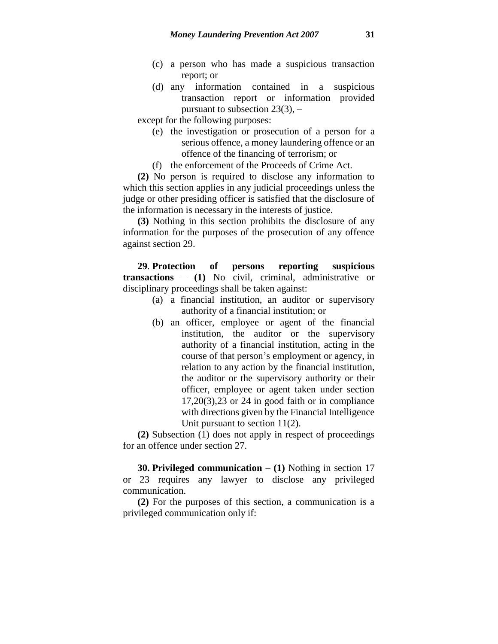- (c) a person who has made a suspicious transaction report; or
- (d) any information contained in a suspicious transaction report or information provided pursuant to subsection  $23(3)$ ,  $-$

except for the following purposes:

- (e) the investigation or prosecution of a person for a serious offence, a money laundering offence or an offence of the financing of terrorism; or
- (f) the enforcement of the Proceeds of Crime Act.

**(2)** No person is required to disclose any information to which this section applies in any judicial proceedings unless the judge or other presiding officer is satisfied that the disclosure of the information is necessary in the interests of justice.

**(3)** Nothing in this section prohibits the disclosure of any information for the purposes of the prosecution of any offence against section 29.

**29**. **Protection of persons reporting suspicious transactions** – **(1)** No civil, criminal, administrative or disciplinary proceedings shall be taken against:

- (a) a financial institution, an auditor or supervisory authority of a financial institution; or
- (b) an officer, employee or agent of the financial institution, the auditor or the supervisory authority of a financial institution, acting in the course of that person's employment or agency, in relation to any action by the financial institution, the auditor or the supervisory authority or their officer, employee or agent taken under section 17,20(3),23 or 24 in good faith or in compliance with directions given by the Financial Intelligence Unit pursuant to section 11(2).

**(2)** Subsection (1) does not apply in respect of proceedings for an offence under section 27.

**30. Privileged communication** – **(1)** Nothing in section 17 or 23 requires any lawyer to disclose any privileged communication.

**(2)** For the purposes of this section, a communication is a privileged communication only if: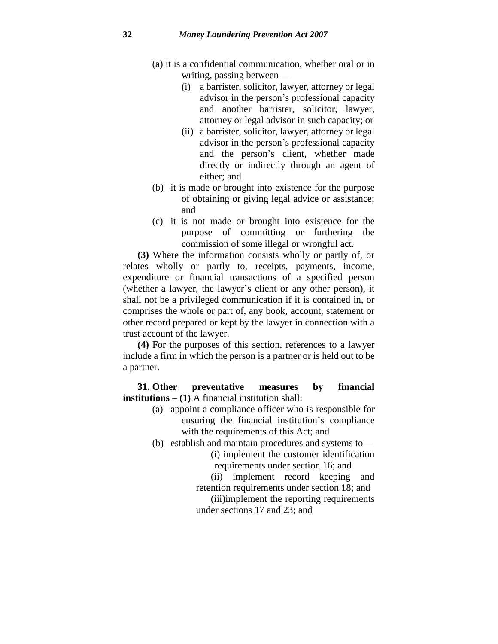- (a) it is a confidential communication, whether oral or in writing, passing between—
	- (i) a barrister, solicitor, lawyer, attorney or legal advisor in the person's professional capacity and another barrister, solicitor, lawyer, attorney or legal advisor in such capacity; or
	- (ii) a barrister, solicitor, lawyer, attorney or legal advisor in the person's professional capacity and the person's client, whether made directly or indirectly through an agent of either; and
- (b) it is made or brought into existence for the purpose of obtaining or giving legal advice or assistance; and
- (c) it is not made or brought into existence for the purpose of committing or furthering the commission of some illegal or wrongful act.

**(3)** Where the information consists wholly or partly of, or relates wholly or partly to, receipts, payments, income, expenditure or financial transactions of a specified person (whether a lawyer, the lawyer's client or any other person), it shall not be a privileged communication if it is contained in, or comprises the whole or part of, any book, account, statement or other record prepared or kept by the lawyer in connection with a trust account of the lawyer.

**(4)** For the purposes of this section, references to a lawyer include a firm in which the person is a partner or is held out to be a partner.

**31. Other preventative measures by financial institutions** – **(1)** A financial institution shall:

- (a) appoint a compliance officer who is responsible for ensuring the financial institution's compliance with the requirements of this Act; and
- (b) establish and maintain procedures and systems to— (i) implement the customer identification requirements under section 16; and

(ii) implement record keeping and retention requirements under section 18; and

(iii)implement the reporting requirements under sections 17 and 23; and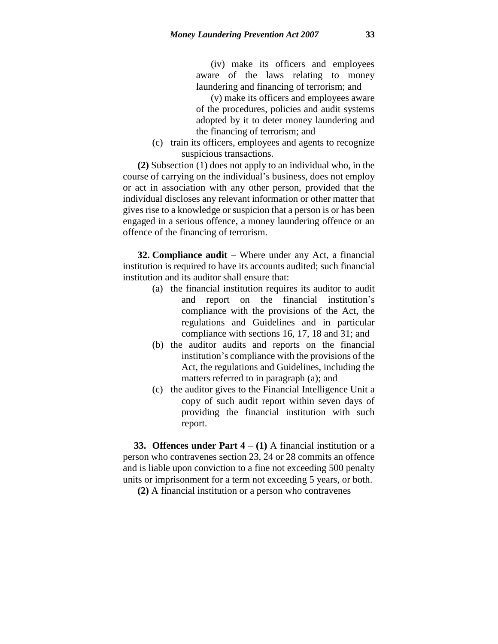(iv) make its officers and employees aware of the laws relating to money laundering and financing of terrorism; and

(v) make its officers and employees aware of the procedures, policies and audit systems adopted by it to deter money laundering and the financing of terrorism; and

(c) train its officers, employees and agents to recognize suspicious transactions.

**(2)** Subsection (1) does not apply to an individual who, in the course of carrying on the individual's business, does not employ or act in association with any other person, provided that the individual discloses any relevant information or other matter that gives rise to a knowledge or suspicion that a person is or has been engaged in a serious offence, a money laundering offence or an offence of the financing of terrorism.

**32. Compliance audit** – Where under any Act, a financial institution is required to have its accounts audited; such financial institution and its auditor shall ensure that:

- (a) the financial institution requires its auditor to audit and report on the financial institution's compliance with the provisions of the Act, the regulations and Guidelines and in particular compliance with sections 16, 17, 18 and 31; and
- (b) the auditor audits and reports on the financial institution's compliance with the provisions of the Act, the regulations and Guidelines, including the matters referred to in paragraph (a); and
- (c) the auditor gives to the Financial Intelligence Unit a copy of such audit report within seven days of providing the financial institution with such report.

**33. Offences under Part 4** – **(1)** A financial institution or a person who contravenes section 23, 24 or 28 commits an offence and is liable upon conviction to a fine not exceeding 500 penalty units or imprisonment for a term not exceeding 5 years, or both.

**(2)** A financial institution or a person who contravenes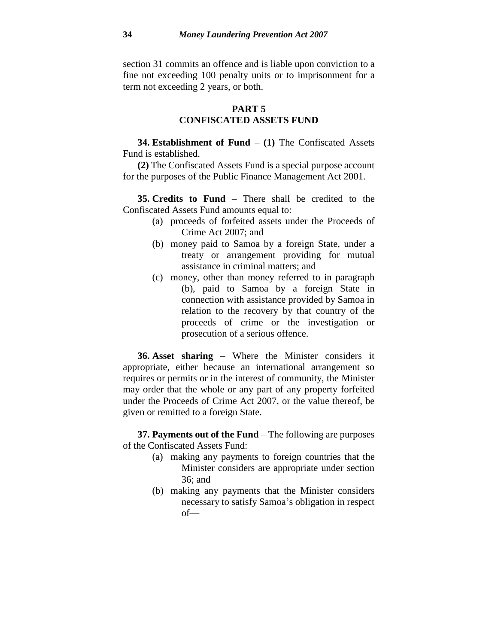section 31 commits an offence and is liable upon conviction to a fine not exceeding 100 penalty units or to imprisonment for a term not exceeding 2 years, or both.

### **PART 5**

# **CONFISCATED ASSETS FUND**

**34. Establishment of Fund** – **(1)** The Confiscated Assets Fund is established.

**(2)** The Confiscated Assets Fund is a special purpose account for the purposes of the Public Finance Management Act 2001.

**35. Credits to Fund** – There shall be credited to the Confiscated Assets Fund amounts equal to:

- (a) proceeds of forfeited assets under the Proceeds of Crime Act 2007; and
- (b) money paid to Samoa by a foreign State, under a treaty or arrangement providing for mutual assistance in criminal matters; and
- (c) money, other than money referred to in paragraph (b), paid to Samoa by a foreign State in connection with assistance provided by Samoa in relation to the recovery by that country of the proceeds of crime or the investigation or prosecution of a serious offence.

**36. Asset sharing** – Where the Minister considers it appropriate, either because an international arrangement so requires or permits or in the interest of community, the Minister may order that the whole or any part of any property forfeited under the Proceeds of Crime Act 2007, or the value thereof, be given or remitted to a foreign State.

**37. Payments out of the Fund** – The following are purposes of the Confiscated Assets Fund:

- (a) making any payments to foreign countries that the Minister considers are appropriate under section 36; and
- (b) making any payments that the Minister considers necessary to satisfy Samoa's obligation in respect of—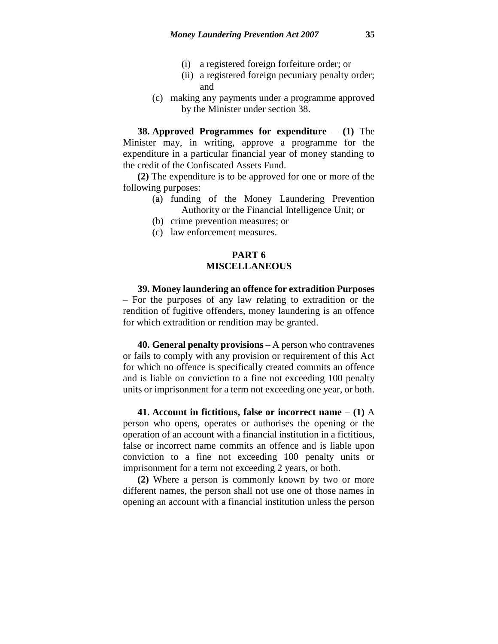- (i) a registered foreign forfeiture order; or
- (ii) a registered foreign pecuniary penalty order; and
- (c) making any payments under a programme approved by the Minister under section 38.

**38. Approved Programmes for expenditure** – **(1)** The Minister may, in writing, approve a programme for the expenditure in a particular financial year of money standing to the credit of the Confiscated Assets Fund.

**(2)** The expenditure is to be approved for one or more of the following purposes:

- (a) funding of the Money Laundering Prevention Authority or the Financial Intelligence Unit; or
	- (b) crime prevention measures; or
	- (c) law enforcement measures.

### **PART 6 MISCELLANEOUS**

**39. Money laundering an offence for extradition Purposes**  – For the purposes of any law relating to extradition or the rendition of fugitive offenders, money laundering is an offence for which extradition or rendition may be granted.

**40. General penalty provisions** – A person who contravenes or fails to comply with any provision or requirement of this Act for which no offence is specifically created commits an offence and is liable on conviction to a fine not exceeding 100 penalty units or imprisonment for a term not exceeding one year, or both.

**41. Account in fictitious, false or incorrect name** – **(1)** A person who opens, operates or authorises the opening or the operation of an account with a financial institution in a fictitious, false or incorrect name commits an offence and is liable upon conviction to a fine not exceeding 100 penalty units or imprisonment for a term not exceeding 2 years, or both.

**(2)** Where a person is commonly known by two or more different names, the person shall not use one of those names in opening an account with a financial institution unless the person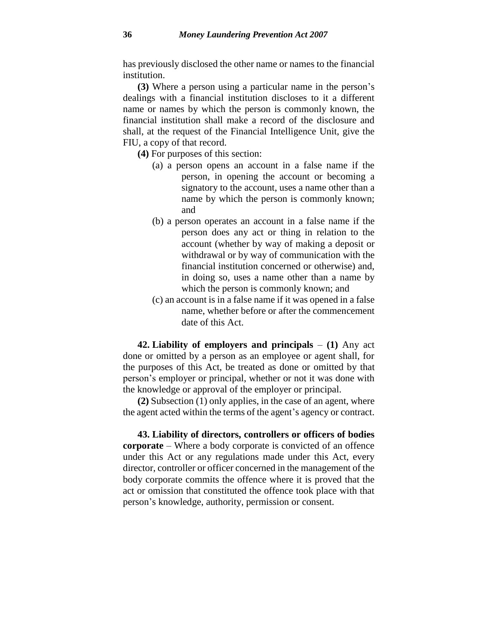has previously disclosed the other name or names to the financial institution.

**(3)** Where a person using a particular name in the person's dealings with a financial institution discloses to it a different name or names by which the person is commonly known, the financial institution shall make a record of the disclosure and shall, at the request of the Financial Intelligence Unit, give the FIU, a copy of that record.

**(4)** For purposes of this section:

- (a) a person opens an account in a false name if the person, in opening the account or becoming a signatory to the account, uses a name other than a name by which the person is commonly known; and
- (b) a person operates an account in a false name if the person does any act or thing in relation to the account (whether by way of making a deposit or withdrawal or by way of communication with the financial institution concerned or otherwise) and, in doing so, uses a name other than a name by which the person is commonly known; and
- (c) an account is in a false name if it was opened in a false name, whether before or after the commencement date of this Act.

**42. Liability of employers and principals** – **(1)** Any act done or omitted by a person as an employee or agent shall, for the purposes of this Act, be treated as done or omitted by that person's employer or principal, whether or not it was done with the knowledge or approval of the employer or principal.

**(2)** Subsection (1) only applies, in the case of an agent, where the agent acted within the terms of the agent's agency or contract.

**43. Liability of directors, controllers or officers of bodies corporate** – Where a body corporate is convicted of an offence under this Act or any regulations made under this Act, every director, controller or officer concerned in the management of the body corporate commits the offence where it is proved that the act or omission that constituted the offence took place with that person's knowledge, authority, permission or consent.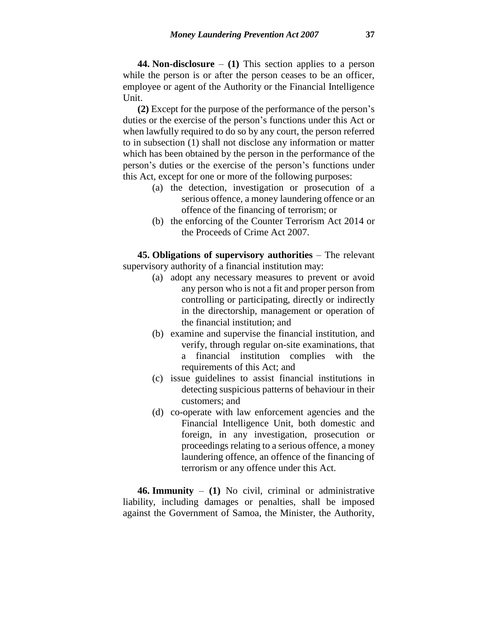**44. Non-disclosure** – **(1)** This section applies to a person while the person is or after the person ceases to be an officer, employee or agent of the Authority or the Financial Intelligence Unit.

**(2)** Except for the purpose of the performance of the person's duties or the exercise of the person's functions under this Act or when lawfully required to do so by any court, the person referred to in subsection (1) shall not disclose any information or matter which has been obtained by the person in the performance of the person's duties or the exercise of the person's functions under this Act, except for one or more of the following purposes:

- (a) the detection, investigation or prosecution of a serious offence, a money laundering offence or an offence of the financing of terrorism; or
- (b) the enforcing of the Counter Terrorism Act 2014 or the Proceeds of Crime Act 2007.

**45. Obligations of supervisory authorities** – The relevant supervisory authority of a financial institution may:

- (a) adopt any necessary measures to prevent or avoid any person who is not a fit and proper person from controlling or participating, directly or indirectly in the directorship, management or operation of the financial institution; and
- (b) examine and supervise the financial institution, and verify, through regular on-site examinations, that a financial institution complies with the requirements of this Act; and
- (c) issue guidelines to assist financial institutions in detecting suspicious patterns of behaviour in their customers; and
- (d) co-operate with law enforcement agencies and the Financial Intelligence Unit, both domestic and foreign, in any investigation, prosecution or proceedings relating to a serious offence, a money laundering offence, an offence of the financing of terrorism or any offence under this Act.

**46. Immunity** – **(1)** No civil, criminal or administrative liability, including damages or penalties, shall be imposed against the Government of Samoa, the Minister, the Authority,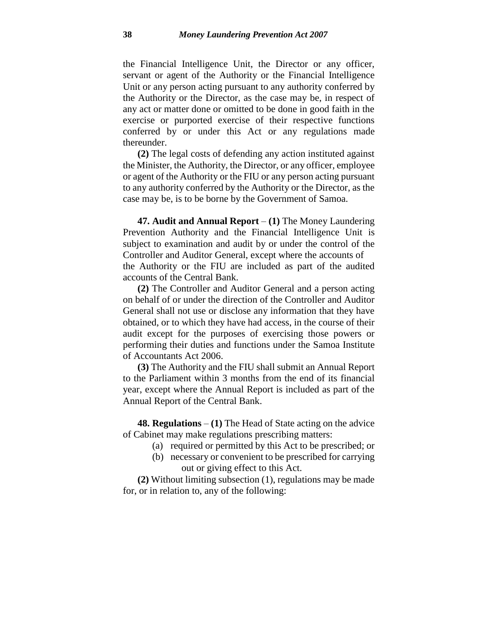the Financial Intelligence Unit, the Director or any officer, servant or agent of the Authority or the Financial Intelligence Unit or any person acting pursuant to any authority conferred by the Authority or the Director, as the case may be, in respect of any act or matter done or omitted to be done in good faith in the exercise or purported exercise of their respective functions conferred by or under this Act or any regulations made thereunder.

**(2)** The legal costs of defending any action instituted against the Minister, the Authority, the Director, or any officer, employee or agent of the Authority or the FIU or any person acting pursuant to any authority conferred by the Authority or the Director, as the case may be, is to be borne by the Government of Samoa.

**47. Audit and Annual Report** – **(1)** The Money Laundering Prevention Authority and the Financial Intelligence Unit is subject to examination and audit by or under the control of the Controller and Auditor General, except where the accounts of the Authority or the FIU are included as part of the audited accounts of the Central Bank.

**(2)** The Controller and Auditor General and a person acting on behalf of or under the direction of the Controller and Auditor General shall not use or disclose any information that they have obtained, or to which they have had access, in the course of their audit except for the purposes of exercising those powers or performing their duties and functions under the Samoa Institute of Accountants Act 2006.

**(3)** The Authority and the FIU shall submit an Annual Report to the Parliament within 3 months from the end of its financial year, except where the Annual Report is included as part of the Annual Report of the Central Bank.

**48. Regulations** – **(1)** The Head of State acting on the advice of Cabinet may make regulations prescribing matters:

- (a) required or permitted by this Act to be prescribed; or
- (b) necessary or convenient to be prescribed for carrying out or giving effect to this Act.

**(2)** Without limiting subsection (1), regulations may be made for, or in relation to, any of the following: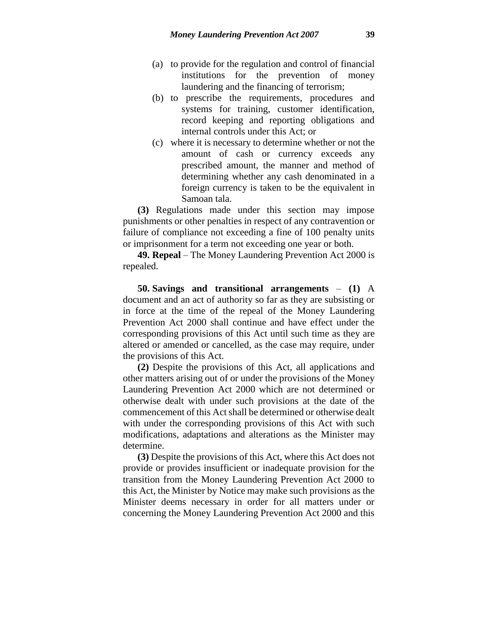- (a) to provide for the regulation and control of financial institutions for the prevention of money laundering and the financing of terrorism;
- (b) to prescribe the requirements, procedures and systems for training, customer identification, record keeping and reporting obligations and internal controls under this Act; or
- (c) where it is necessary to determine whether or not the amount of cash or currency exceeds any prescribed amount, the manner and method of determining whether any cash denominated in a foreign currency is taken to be the equivalent in Samoan tala.

**(3)** Regulations made under this section may impose punishments or other penalties in respect of any contravention or failure of compliance not exceeding a fine of 100 penalty units or imprisonment for a term not exceeding one year or both.

**49. Repeal** – The Money Laundering Prevention Act 2000 is repealed.

**50. Savings and transitional arrangements** – **(1)** A document and an act of authority so far as they are subsisting or in force at the time of the repeal of the Money Laundering Prevention Act 2000 shall continue and have effect under the corresponding provisions of this Act until such time as they are altered or amended or cancelled, as the case may require, under the provisions of this Act.

**(2)** Despite the provisions of this Act, all applications and other matters arising out of or under the provisions of the Money Laundering Prevention Act 2000 which are not determined or otherwise dealt with under such provisions at the date of the commencement of this Act shall be determined or otherwise dealt with under the corresponding provisions of this Act with such modifications, adaptations and alterations as the Minister may determine.

**(3)** Despite the provisions of this Act, where this Act does not provide or provides insufficient or inadequate provision for the transition from the Money Laundering Prevention Act 2000 to this Act, the Minister by Notice may make such provisions as the Minister deems necessary in order for all matters under or concerning the Money Laundering Prevention Act 2000 and this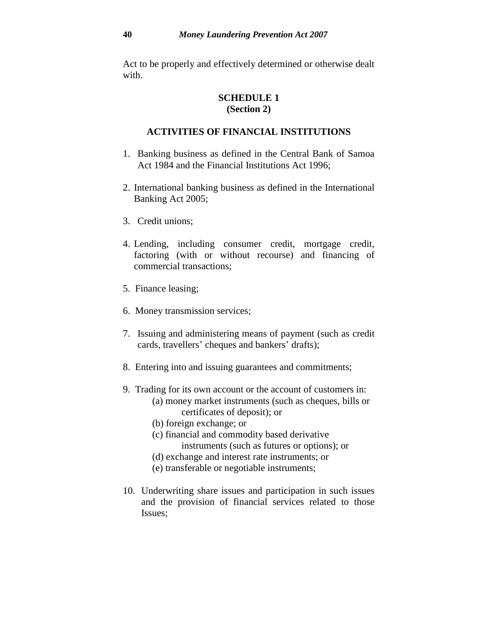Act to be properly and effectively determined or otherwise dealt with.

# **SCHEDULE 1 (Section 2)**

### **ACTIVITIES OF FINANCIAL INSTITUTIONS**

- 1. Banking business as defined in the Central Bank of Samoa Act 1984 and the Financial Institutions Act 1996;
- 2. International banking business as defined in the International Banking Act 2005;
- 3. Credit unions;
- 4. Lending, including consumer credit, mortgage credit, factoring (with or without recourse) and financing of commercial transactions;
- 5. Finance leasing;
- 6. Money transmission services;
- 7. Issuing and administering means of payment (such as credit cards, travellers' cheques and bankers' drafts);
- 8. Entering into and issuing guarantees and commitments;
- 9. Trading for its own account or the account of customers in:
	- (a) money market instruments (such as cheques, bills or certificates of deposit); or
	- (b) foreign exchange; or
	- (c) financial and commodity based derivative instruments (such as futures or options); or
	- (d) exchange and interest rate instruments; or
	- (e) transferable or negotiable instruments;
- 10. Underwriting share issues and participation in such issues and the provision of financial services related to those Issues;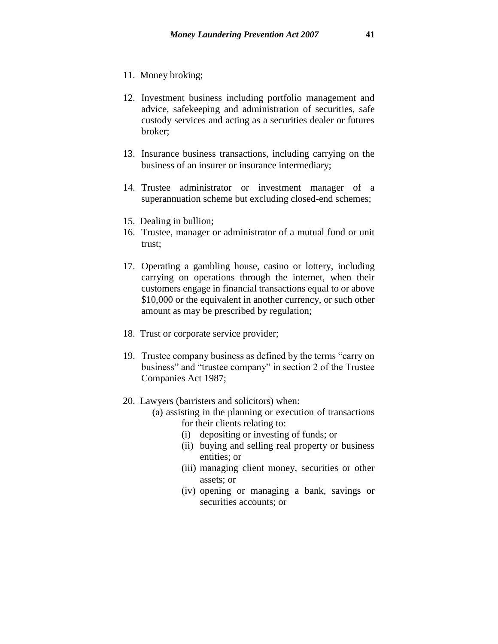- 11. Money broking;
- 12. Investment business including portfolio management and advice, safekeeping and administration of securities, safe custody services and acting as a securities dealer or futures broker;
- 13. Insurance business transactions, including carrying on the business of an insurer or insurance intermediary;
- 14. Trustee administrator or investment manager of a superannuation scheme but excluding closed-end schemes;
- 15. Dealing in bullion;
- 16. Trustee, manager or administrator of a mutual fund or unit trust;
- 17. Operating a gambling house, casino or lottery, including carrying on operations through the internet, when their customers engage in financial transactions equal to or above \$10,000 or the equivalent in another currency, or such other amount as may be prescribed by regulation;
- 18. Trust or corporate service provider;
- 19. Trustee company business as defined by the terms "carry on business" and "trustee company" in section 2 of the Trustee Companies Act 1987;
- 20. Lawyers (barristers and solicitors) when:
	- (a) assisting in the planning or execution of transactions for their clients relating to:
		- (i) depositing or investing of funds; or
		- (ii) buying and selling real property or business entities; or
		- (iii) managing client money, securities or other assets; or
		- (iv) opening or managing a bank, savings or securities accounts; or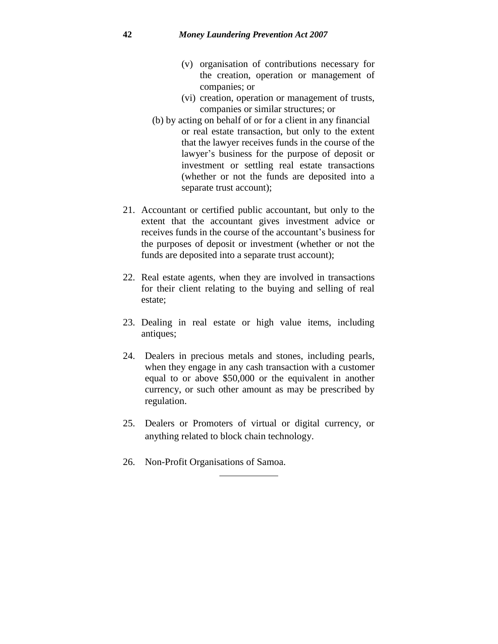- (v) organisation of contributions necessary for the creation, operation or management of companies; or
- (vi) creation, operation or management of trusts, companies or similar structures; or
- (b) by acting on behalf of or for a client in any financial or real estate transaction, but only to the extent that the lawyer receives funds in the course of the lawyer's business for the purpose of deposit or investment or settling real estate transactions (whether or not the funds are deposited into a separate trust account);
- 21. Accountant or certified public accountant, but only to the extent that the accountant gives investment advice or receives funds in the course of the accountant's business for the purposes of deposit or investment (whether or not the funds are deposited into a separate trust account);
- 22. Real estate agents, when they are involved in transactions for their client relating to the buying and selling of real estate;
- 23. Dealing in real estate or high value items, including antiques;
- 24. Dealers in precious metals and stones, including pearls, when they engage in any cash transaction with a customer equal to or above \$50,000 or the equivalent in another currency, or such other amount as may be prescribed by regulation.
- 25. Dealers or Promoters of virtual or digital currency, or anything related to block chain technology.
- 26. Non-Profit Organisations of Samoa.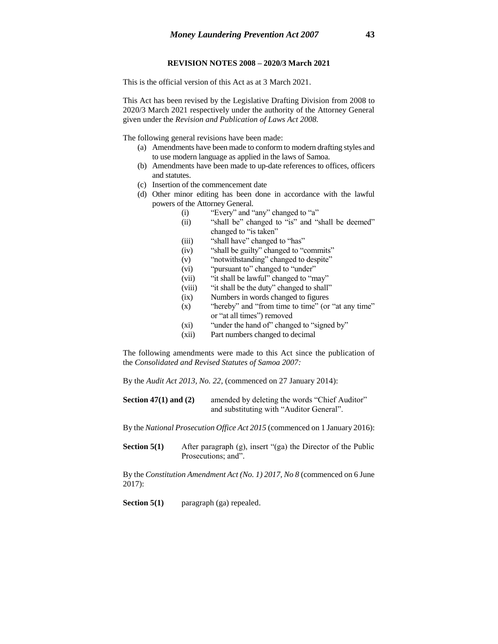#### **REVISION NOTES 2008 – 2020/3 March 2021**

This is the official version of this Act as at 3 March 2021.

This Act has been revised by the Legislative Drafting Division from 2008 to 2020/3 March 2021 respectively under the authority of the Attorney General given under the *Revision and Publication of Laws Act 2008.*

The following general revisions have been made:

- (a) Amendments have been made to conform to modern drafting styles and to use modern language as applied in the laws of Samoa.
- (b) Amendments have been made to up-date references to offices, officers and statutes.
- (c) Insertion of the commencement date
- (d) Other minor editing has been done in accordance with the lawful powers of the Attorney General.
	- (i) "Every" and "any" changed to "a"
	- (ii) "shall be" changed to "is" and "shall be deemed" changed to "is taken"
	- (iii) "shall have" changed to "has"
	- (iv) "shall be guilty" changed to "commits"
	- (v) "notwithstanding" changed to despite"
	- (vi) "pursuant to" changed to "under"
	- (vii) "it shall be lawful" changed to "may"
	- (viii) "it shall be the duty" changed to shall"
	- (ix) Numbers in words changed to figures
	- (x) "hereby" and "from time to time" (or "at any time" or "at all times") removed
	- (xi) "under the hand of" changed to "signed by"
	- (xii) Part numbers changed to decimal

The following amendments were made to this Act since the publication of the *Consolidated and Revised Statutes of Samoa 2007:*

By the *Audit Act 2013, No. 22,* (commenced on 27 January 2014):

**Section 47(1) and (2)** amended by deleting the words "Chief Auditor" and substituting with "Auditor General".

By the *National Prosecution Office Act 2015* (commenced on 1 January 2016):

**Section 5(1)** After paragraph (g), insert "(ga) the Director of the Public Prosecutions; and".

By the *Constitution Amendment Act (No. 1) 2017, No 8* (commenced on 6 June 2017):

**Section 5(1)** paragraph (ga) repealed.